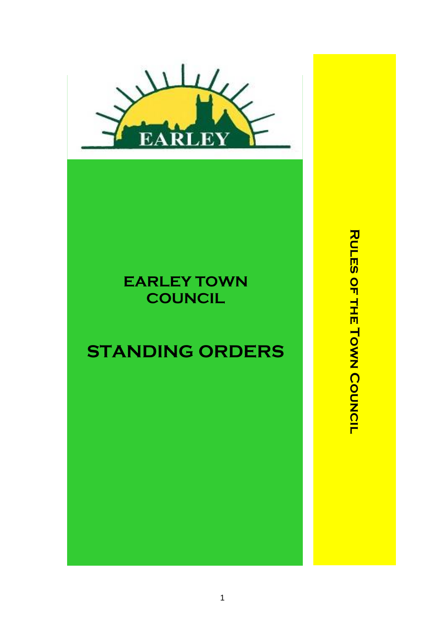

## **EARLEY TOWN COUNCIL**

# **STANDING ORDERS**

**RULES OF THE TOWN COUNCIL RULES OF THE TOWN COUNCIL**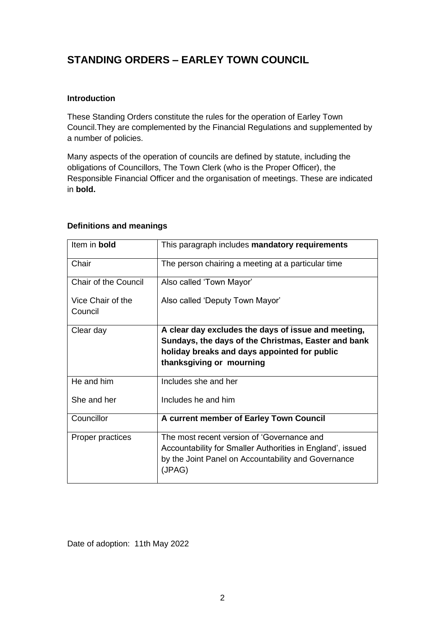### **STANDING ORDERS – EARLEY TOWN COUNCIL**

#### **Introduction**

These Standing Orders constitute the rules for the operation of Earley Town Council.They are complemented by the Financial Regulations and supplemented by a number of policies.

Many aspects of the operation of councils are defined by statute, including the obligations of Councillors, The Town Clerk (who is the Proper Officer), the Responsible Financial Officer and the organisation of meetings. These are indicated in **bold.**

#### **Definitions and meanings**

| Item in bold                 | This paragraph includes mandatory requirements                                                                                                                                         |
|------------------------------|----------------------------------------------------------------------------------------------------------------------------------------------------------------------------------------|
| Chair                        | The person chairing a meeting at a particular time                                                                                                                                     |
| <b>Chair of the Council</b>  | Also called 'Town Mayor'                                                                                                                                                               |
| Vice Chair of the<br>Council | Also called 'Deputy Town Mayor'                                                                                                                                                        |
| Clear day                    | A clear day excludes the days of issue and meeting,<br>Sundays, the days of the Christmas, Easter and bank<br>holiday breaks and days appointed for public<br>thanksgiving or mourning |
| He and him                   | Includes she and her                                                                                                                                                                   |
| She and her                  | Includes he and him                                                                                                                                                                    |
| Councillor                   | A current member of Earley Town Council                                                                                                                                                |
| Proper practices             | The most recent version of 'Governance and<br>Accountability for Smaller Authorities in England', issued<br>by the Joint Panel on Accountability and Governance<br>(JPAG)              |

Date of adoption: 11th May 2022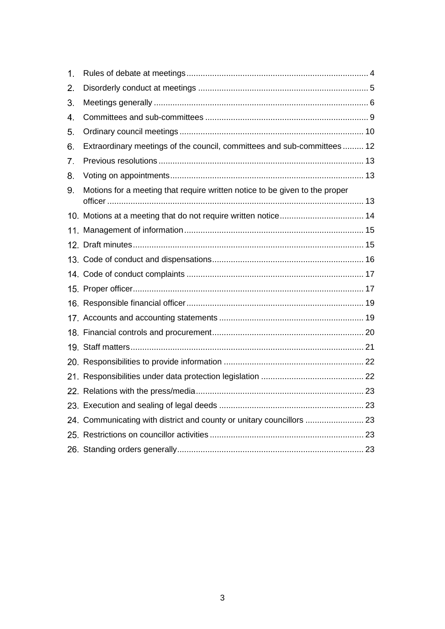| $\mathbf{1}$ . |                                                                             |  |
|----------------|-----------------------------------------------------------------------------|--|
| 2.             |                                                                             |  |
| 3.             |                                                                             |  |
| 4.             |                                                                             |  |
| 5.             |                                                                             |  |
| 6.             | Extraordinary meetings of the council, committees and sub-committees 12     |  |
| 7.             |                                                                             |  |
| 8.             |                                                                             |  |
| 9.             | Motions for a meeting that require written notice to be given to the proper |  |
|                |                                                                             |  |
|                |                                                                             |  |
|                |                                                                             |  |
|                |                                                                             |  |
|                |                                                                             |  |
|                |                                                                             |  |
|                |                                                                             |  |
|                |                                                                             |  |
|                |                                                                             |  |
|                |                                                                             |  |
|                |                                                                             |  |
|                |                                                                             |  |
|                |                                                                             |  |
|                |                                                                             |  |
|                | 24. Communicating with district and county or unitary councillors  23       |  |
|                |                                                                             |  |
|                |                                                                             |  |
|                |                                                                             |  |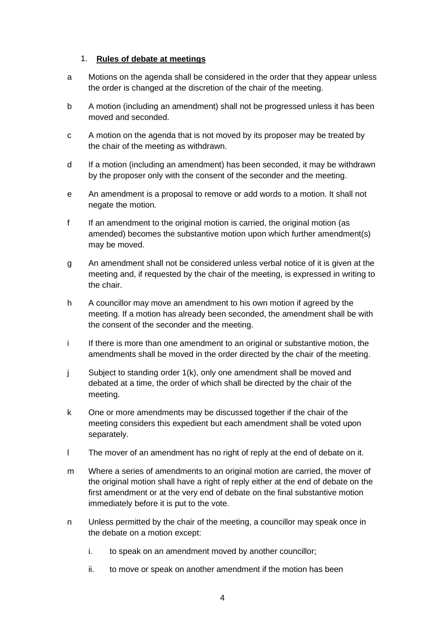#### <span id="page-3-0"></span>1. **Rules of debate at meetings**

- a Motions on the agenda shall be considered in the order that they appear unless the order is changed at the discretion of the chair of the meeting.
- b A motion (including an amendment) shall not be progressed unless it has been moved and seconded.
- c A motion on the agenda that is not moved by its proposer may be treated by the chair of the meeting as withdrawn.
- d If a motion (including an amendment) has been seconded, it may be withdrawn by the proposer only with the consent of the seconder and the meeting.
- e An amendment is a proposal to remove or add words to a motion. It shall not negate the motion.
- f If an amendment to the original motion is carried, the original motion (as amended) becomes the substantive motion upon which further amendment(s) may be moved.
- g An amendment shall not be considered unless verbal notice of it is given at the meeting and, if requested by the chair of the meeting, is expressed in writing to the chair.
- h A councillor may move an amendment to his own motion if agreed by the meeting. If a motion has already been seconded, the amendment shall be with the consent of the seconder and the meeting.
- i If there is more than one amendment to an original or substantive motion, the amendments shall be moved in the order directed by the chair of the meeting.
- j Subject to standing order 1(k), only one amendment shall be moved and debated at a time, the order of which shall be directed by the chair of the meeting.
- k One or more amendments may be discussed together if the chair of the meeting considers this expedient but each amendment shall be voted upon separately.
- l The mover of an amendment has no right of reply at the end of debate on it.
- m Where a series of amendments to an original motion are carried, the mover of the original motion shall have a right of reply either at the end of debate on the first amendment or at the very end of debate on the final substantive motion immediately before it is put to the vote.
- n Unless permitted by the chair of the meeting, a councillor may speak once in the debate on a motion except:
	- i. to speak on an amendment moved by another councillor;
	- ii. to move or speak on another amendment if the motion has been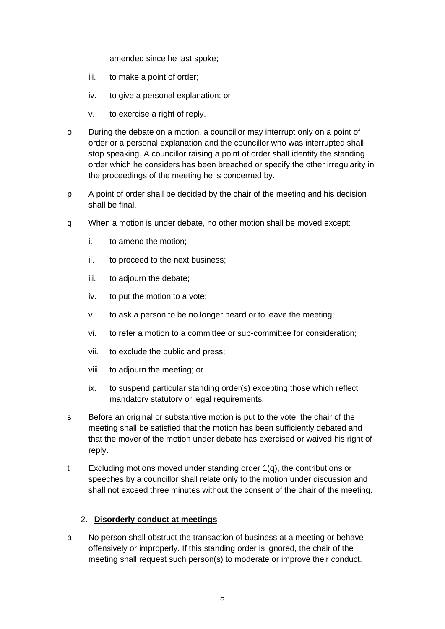amended since he last spoke;

- iii. to make a point of order;
- iv. to give a personal explanation; or
- v. to exercise a right of reply.
- o During the debate on a motion, a councillor may interrupt only on a point of order or a personal explanation and the councillor who was interrupted shall stop speaking. A councillor raising a point of order shall identify the standing order which he considers has been breached or specify the other irregularity in the proceedings of the meeting he is concerned by.
- p A point of order shall be decided by the chair of the meeting and his decision shall be final.
- q When a motion is under debate, no other motion shall be moved except:
	- i. to amend the motion;
	- ii. to proceed to the next business;
	- iii. to adjourn the debate;
	- iv. to put the motion to a vote;
	- v. to ask a person to be no longer heard or to leave the meeting;
	- vi. to refer a motion to a committee or sub-committee for consideration;
	- vii. to exclude the public and press;
	- viii. to adjourn the meeting; or
	- ix. to suspend particular standing order(s) excepting those which reflect mandatory statutory or legal requirements.
- s Before an original or substantive motion is put to the vote, the chair of the meeting shall be satisfied that the motion has been sufficiently debated and that the mover of the motion under debate has exercised or waived his right of reply.
- t Excluding motions moved under standing order 1(q), the contributions or speeches by a councillor shall relate only to the motion under discussion and shall not exceed three minutes without the consent of the chair of the meeting.

#### <span id="page-4-0"></span>2. **Disorderly conduct at meetings**

a No person shall obstruct the transaction of business at a meeting or behave offensively or improperly. If this standing order is ignored, the chair of the meeting shall request such person(s) to moderate or improve their conduct.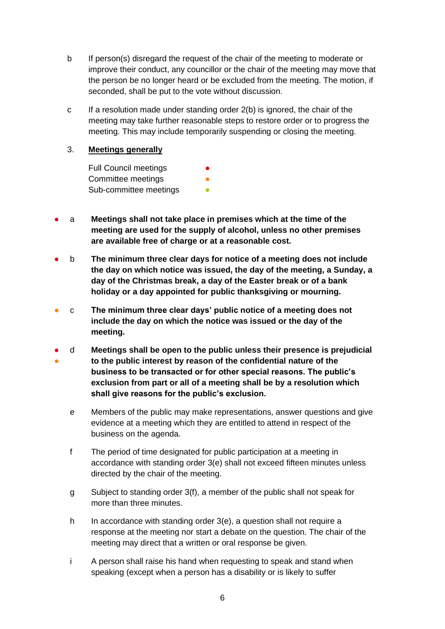- b If person(s) disregard the request of the chair of the meeting to moderate or improve their conduct, any councillor or the chair of the meeting may move that the person be no longer heard or be excluded from the meeting. The motion, if seconded, shall be put to the vote without discussion.
- c If a resolution made under standing order 2(b) is ignored, the chair of the meeting may take further reasonable steps to restore order or to progress the meeting. This may include temporarily suspending or closing the meeting.

#### <span id="page-5-0"></span>3. **Meetings generally**

Full Council meetings Committee meetings Sub-committee meetings

- a **Meetings shall not take place in premises which at the time of the meeting are used for the supply of alcohol, unless no other premises are available free of charge or at a reasonable cost.**
- b **The minimum three clear days for notice of a meeting does not include the day on which notice was issued, the day of the meeting, a Sunday, a day of the Christmas break, a day of the Easter break or of a bank holiday or a day appointed for public thanksgiving or mourning.**
- c **The minimum three clear days' public notice of a meeting does not include the day on which the notice was issued or the day of the meeting.**
- ● d **Meetings shall be open to the public unless their presence is prejudicial to the public interest by reason of the confidential nature of the business to be transacted or for other special reasons. The public's exclusion from part or all of a meeting shall be by a resolution which shall give reasons for the public's exclusion.**
	- e Members of the public may make representations, answer questions and give evidence at a meeting which they are entitled to attend in respect of the business on the agenda.
	- f The period of time designated for public participation at a meeting in accordance with standing order 3(e) shall not exceed fifteen minutes unless directed by the chair of the meeting.
	- g Subject to standing order 3(f), a member of the public shall not speak for more than three minutes.
	- h In accordance with standing order 3(e), a question shall not require a response at the meeting nor start a debate on the question. The chair of the meeting may direct that a written or oral response be given.
	- i A person shall raise his hand when requesting to speak and stand when speaking (except when a person has a disability or is likely to suffer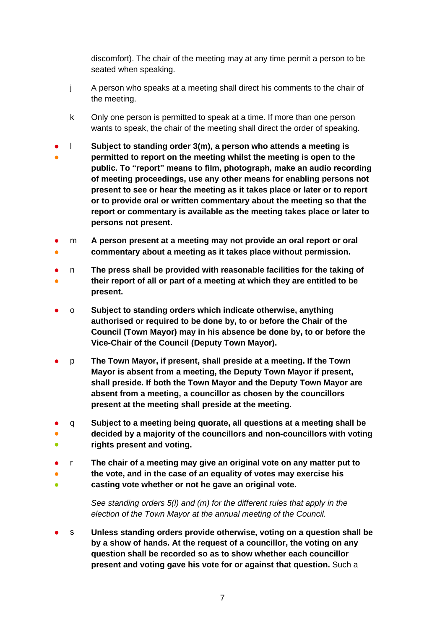discomfort). The chair of the meeting may at any time permit a person to be seated when speaking.

- j A person who speaks at a meeting shall direct his comments to the chair of the meeting.
- k Only one person is permitted to speak at a time. If more than one person wants to speak, the chair of the meeting shall direct the order of speaking.
- ● l **Subject to standing order 3(m), a person who attends a meeting is permitted to report on the meeting whilst the meeting is open to the public. To "report" means to film, photograph, make an audio recording of meeting proceedings, use any other means for enabling persons not present to see or hear the meeting as it takes place or later or to report or to provide oral or written commentary about the meeting so that the report or commentary is available as the meeting takes place or later to persons not present.**
- ● m **A person present at a meeting may not provide an oral report or oral commentary about a meeting as it takes place without permission.**
- ● n **The press shall be provided with reasonable facilities for the taking of their report of all or part of a meeting at which they are entitled to be present.**
- o **Subject to standing orders which indicate otherwise, anything authorised or required to be done by, to or before the Chair of the Council (Town Mayor) may in his absence be done by, to or before the Vice-Chair of the Council (Deputy Town Mayor).**
- p **The Town Mayor, if present, shall preside at a meeting. If the Town Mayor is absent from a meeting, the Deputy Town Mayor if present, shall preside. If both the Town Mayor and the Deputy Town Mayor are absent from a meeting, a councillor as chosen by the councillors present at the meeting shall preside at the meeting.**
- ● ● q **Subject to a meeting being quorate, all questions at a meeting shall be decided by a majority of the councillors and non-councillors with voting rights present and voting.**
- ● ● r **The chair of a meeting may give an original vote on any matter put to the vote, and in the case of an equality of votes may exercise his casting vote whether or not he gave an original vote.**
	- *See standing orders 5(l) and (m) for the different rules that apply in the election of the Town Mayor at the annual meeting of the Council.*
- s **Unless standing orders provide otherwise, voting on a question shall be by a show of hands. At the request of a councillor, the voting on any question shall be recorded so as to show whether each councillor present and voting gave his vote for or against that question.** Such a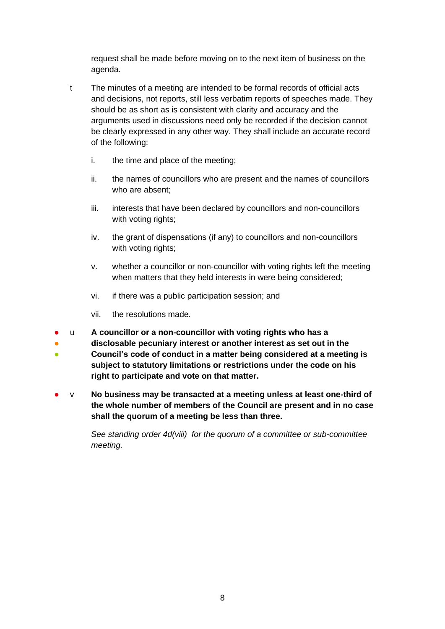request shall be made before moving on to the next item of business on the agenda.

- t The minutes of a meeting are intended to be formal records of official acts and decisions, not reports, still less verbatim reports of speeches made. They should be as short as is consistent with clarity and accuracy and the arguments used in discussions need only be recorded if the decision cannot be clearly expressed in any other way. They shall include an accurate record of the following:
	- i. the time and place of the meeting;
	- ii. the names of councillors who are present and the names of councillors who are absent;
	- iii. interests that have been declared by councillors and non-councillors with voting rights;
	- iv. the grant of dispensations (if any) to councillors and non-councillors with voting rights;
	- v. whether a councillor or non-councillor with voting rights left the meeting when matters that they held interests in were being considered;
	- vi. if there was a public participation session; and
	- vii. the resolutions made.
- u **A councillor or a non-councillor with voting rights who has a**
- **disclosable pecuniary interest or another interest as set out in the**
- **Council's code of conduct in a matter being considered at a meeting is subject to statutory limitations or restrictions under the code on his right to participate and vote on that matter.**
- v **No business may be transacted at a meeting unless at least one-third of the whole number of members of the Council are present and in no case shall the quorum of a meeting be less than three.**

*See standing order 4d(viii) for the quorum of a committee or sub-committee meeting.*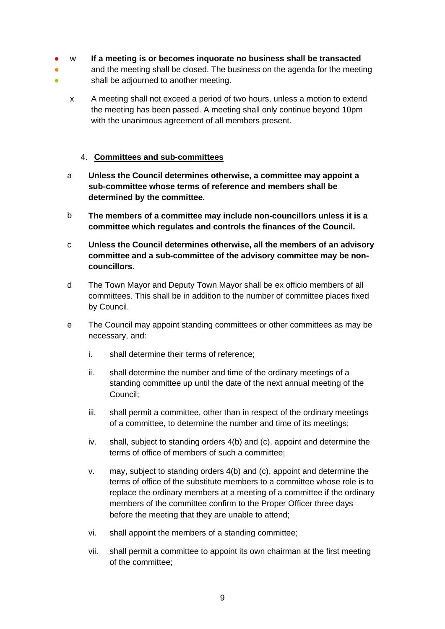- w **If a meeting is or becomes inquorate no business shall be transacted**
- ● and the meeting shall be closed. The business on the agenda for the meeting shall be adjourned to another meeting.
	- x A meeting shall not exceed a period of two hours, unless a motion to extend the meeting has been passed. A meeting shall only continue beyond 10pm with the unanimous agreement of all members present.

#### <span id="page-8-0"></span>4. **Committees and sub-committees**

- a **Unless the Council determines otherwise, a committee may appoint a sub-committee whose terms of reference and members shall be determined by the committee.**
- b **The members of a committee may include non-councillors unless it is a committee which regulates and controls the finances of the Council.**
- c **Unless the Council determines otherwise, all the members of an advisory committee and a sub-committee of the advisory committee may be noncouncillors.**
- d The Town Mayor and Deputy Town Mayor shall be ex officio members of all committees. This shall be in addition to the number of committee places fixed by Council.
- e The Council may appoint standing committees or other committees as may be necessary, and:
	- i. shall determine their terms of reference;
	- ii. shall determine the number and time of the ordinary meetings of a standing committee up until the date of the next annual meeting of the Council;
	- iii. shall permit a committee, other than in respect of the ordinary meetings of a committee, to determine the number and time of its meetings;
	- iv. shall, subject to standing orders 4(b) and (c), appoint and determine the terms of office of members of such a committee;
	- v. may, subject to standing orders 4(b) and (c), appoint and determine the terms of office of the substitute members to a committee whose role is to replace the ordinary members at a meeting of a committee if the ordinary members of the committee confirm to the Proper Officer three days before the meeting that they are unable to attend;
	- vi. shall appoint the members of a standing committee;
	- vii. shall permit a committee to appoint its own chairman at the first meeting of the committee;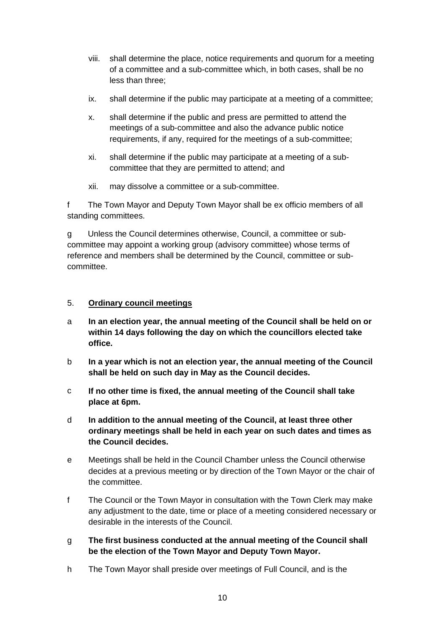- viii. shall determine the place, notice requirements and quorum for a meeting of a committee and a sub-committee which, in both cases, shall be no less than three;
- ix. shall determine if the public may participate at a meeting of a committee;
- x. shall determine if the public and press are permitted to attend the meetings of a sub-committee and also the advance public notice requirements, if any, required for the meetings of a sub-committee;
- xi. shall determine if the public may participate at a meeting of a subcommittee that they are permitted to attend; and
- xii. may dissolve a committee or a sub-committee.

f The Town Mayor and Deputy Town Mayor shall be ex officio members of all standing committees.

g Unless the Council determines otherwise, Council, a committee or subcommittee may appoint a working group (advisory committee) whose terms of reference and members shall be determined by the Council, committee or subcommittee.

#### <span id="page-9-0"></span>5. **Ordinary council meetings**

- a **In an election year, the annual meeting of the Council shall be held on or within 14 days following the day on which the councillors elected take office.**
- b **In a year which is not an election year, the annual meeting of the Council shall be held on such day in May as the Council decides.**
- c **If no other time is fixed, the annual meeting of the Council shall take place at 6pm.**
- d **In addition to the annual meeting of the Council, at least three other ordinary meetings shall be held in each year on such dates and times as the Council decides.**
- e Meetings shall be held in the Council Chamber unless the Council otherwise decides at a previous meeting or by direction of the Town Mayor or the chair of the committee.
- f The Council or the Town Mayor in consultation with the Town Clerk may make any adjustment to the date, time or place of a meeting considered necessary or desirable in the interests of the Council.
- g **The first business conducted at the annual meeting of the Council shall be the election of the Town Mayor and Deputy Town Mayor.**
- h The Town Mayor shall preside over meetings of Full Council, and is the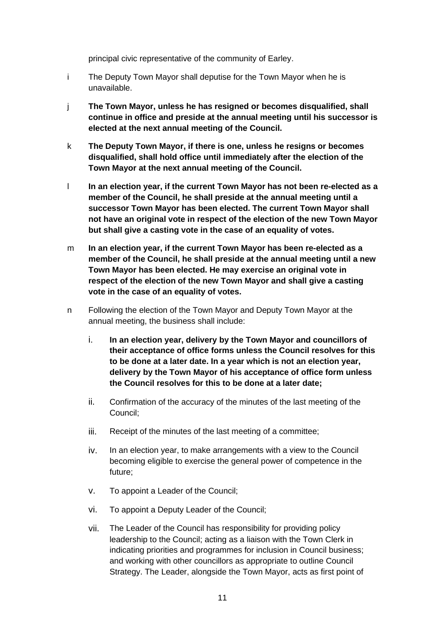principal civic representative of the community of Earley.

- i The Deputy Town Mayor shall deputise for the Town Mayor when he is unavailable.
- j **The Town Mayor, unless he has resigned or becomes disqualified, shall continue in office and preside at the annual meeting until his successor is elected at the next annual meeting of the Council.**
- k **The Deputy Town Mayor, if there is one, unless he resigns or becomes disqualified, shall hold office until immediately after the election of the Town Mayor at the next annual meeting of the Council.**
- l **In an election year, if the current Town Mayor has not been re-elected as a member of the Council, he shall preside at the annual meeting until a successor Town Mayor has been elected. The current Town Mayor shall not have an original vote in respect of the election of the new Town Mayor but shall give a casting vote in the case of an equality of votes.**
- m **In an election year, if the current Town Mayor has been re-elected as a member of the Council, he shall preside at the annual meeting until a new Town Mayor has been elected. He may exercise an original vote in respect of the election of the new Town Mayor and shall give a casting vote in the case of an equality of votes.**
- n Following the election of the Town Mayor and Deputy Town Mayor at the annual meeting, the business shall include:
	- i. **In an election year, delivery by the Town Mayor and councillors of their acceptance of office forms unless the Council resolves for this to be done at a later date. In a year which is not an election year, delivery by the Town Mayor of his acceptance of office form unless the Council resolves for this to be done at a later date;**
	- ii. Confirmation of the accuracy of the minutes of the last meeting of the Council;
	- iii. Receipt of the minutes of the last meeting of a committee;
	- iv. In an election year, to make arrangements with a view to the Council becoming eligible to exercise the general power of competence in the future;
	- v. To appoint a Leader of the Council;
	- vi. To appoint a Deputy Leader of the Council;
	- vii. The Leader of the Council has responsibility for providing policy leadership to the Council; acting as a liaison with the Town Clerk in indicating priorities and programmes for inclusion in Council business; and working with other councillors as appropriate to outline Council Strategy. The Leader, alongside the Town Mayor, acts as first point of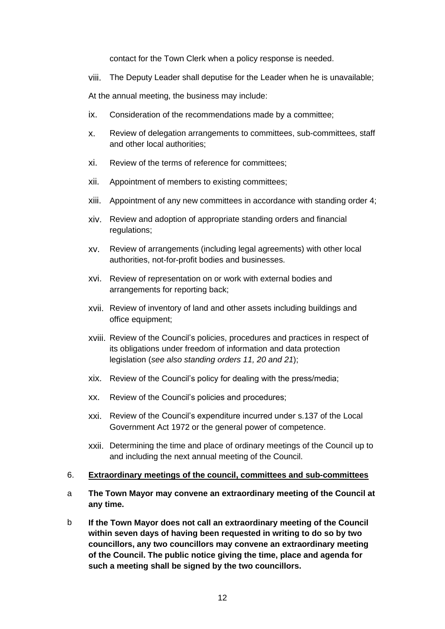contact for the Town Clerk when a policy response is needed.

viii. The Deputy Leader shall deputise for the Leader when he is unavailable;

At the annual meeting, the business may include:

- ix. Consideration of the recommendations made by a committee;
- x. Review of delegation arrangements to committees, sub-committees, staff and other local authorities;
- xi. Review of the terms of reference for committees;
- xii. Appointment of members to existing committees;
- xiii. Appointment of any new committees in accordance with standing order 4;
- xiv. Review and adoption of appropriate standing orders and financial regulations;
- xv. Review of arrangements (including legal agreements) with other local authorities, not-for-profit bodies and businesses.
- xvi. Review of representation on or work with external bodies and arrangements for reporting back;
- xvii. Review of inventory of land and other assets including buildings and office equipment;
- xviii. Review of the Council's policies, procedures and practices in respect of its obligations under freedom of information and data protection legislation (*see also standing orders 11, 20 and 21*);
- xix. Review of the Council's policy for dealing with the press/media;
- xx. Review of the Council's policies and procedures;
- xxi. Review of the Council's expenditure incurred under s.137 of the Local Government Act 1972 or the general power of competence.
- xxii. Determining the time and place of ordinary meetings of the Council up to and including the next annual meeting of the Council.

#### <span id="page-11-0"></span>6. **Extraordinary meetings of the council, committees and sub-committees**

- a **The Town Mayor may convene an extraordinary meeting of the Council at any time.**
- b **If the Town Mayor does not call an extraordinary meeting of the Council within seven days of having been requested in writing to do so by two councillors, any two councillors may convene an extraordinary meeting of the Council. The public notice giving the time, place and agenda for such a meeting shall be signed by the two councillors.**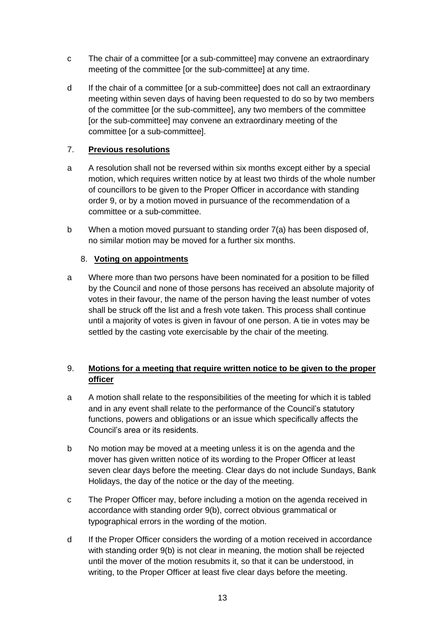- c The chair of a committee [or a sub-committee] may convene an extraordinary meeting of the committee [or the sub-committee] at any time.
- d If the chair of a committee [or a sub-committee] does not call an extraordinary meeting within seven days of having been requested to do so by two members of the committee [or the sub-committee], any two members of the committee [or the sub-committee] may convene an extraordinary meeting of the committee [or a sub-committee].

#### <span id="page-12-0"></span>7. **Previous resolutions**

- a A resolution shall not be reversed within six months except either by a special motion, which requires written notice by at least two thirds of the whole number of councillors to be given to the Proper Officer in accordance with standing order 9, or by a motion moved in pursuance of the recommendation of a committee or a sub-committee.
- b When a motion moved pursuant to standing order 7(a) has been disposed of, no similar motion may be moved for a further six months.

#### <span id="page-12-1"></span>8. **Voting on appointments**

a Where more than two persons have been nominated for a position to be filled by the Council and none of those persons has received an absolute majority of votes in their favour, the name of the person having the least number of votes shall be struck off the list and a fresh vote taken. This process shall continue until a majority of votes is given in favour of one person. A tie in votes may be settled by the casting vote exercisable by the chair of the meeting.

#### <span id="page-12-2"></span>9. **Motions for a meeting that require written notice to be given to the proper officer**

- a A motion shall relate to the responsibilities of the meeting for which it is tabled and in any event shall relate to the performance of the Council's statutory functions, powers and obligations or an issue which specifically affects the Council's area or its residents.
- b No motion may be moved at a meeting unless it is on the agenda and the mover has given written notice of its wording to the Proper Officer at least seven clear days before the meeting. Clear days do not include Sundays, Bank Holidays, the day of the notice or the day of the meeting.
- c The Proper Officer may, before including a motion on the agenda received in accordance with standing order 9(b), correct obvious grammatical or typographical errors in the wording of the motion.
- d If the Proper Officer considers the wording of a motion received in accordance with standing order 9(b) is not clear in meaning, the motion shall be rejected until the mover of the motion resubmits it, so that it can be understood, in writing, to the Proper Officer at least five clear days before the meeting.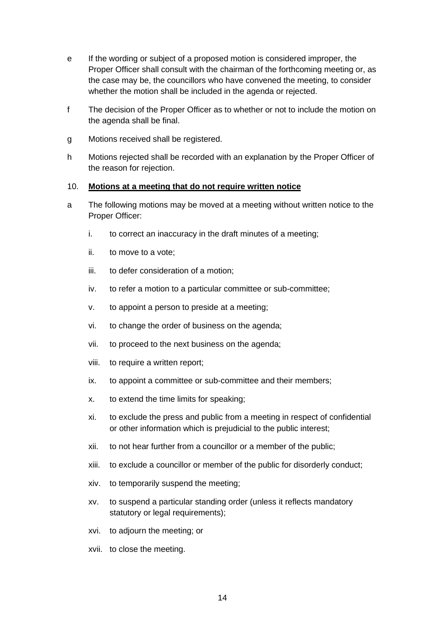- e If the wording or subject of a proposed motion is considered improper, the Proper Officer shall consult with the chairman of the forthcoming meeting or, as the case may be, the councillors who have convened the meeting, to consider whether the motion shall be included in the agenda or rejected.
- f The decision of the Proper Officer as to whether or not to include the motion on the agenda shall be final.
- g Motions received shall be registered.
- h Motions rejected shall be recorded with an explanation by the Proper Officer of the reason for rejection.

#### <span id="page-13-0"></span>10. **Motions at a meeting that do not require written notice**

- a The following motions may be moved at a meeting without written notice to the Proper Officer:
	- i. to correct an inaccuracy in the draft minutes of a meeting;
	- ii. to move to a vote;
	- iii. to defer consideration of a motion;
	- iv. to refer a motion to a particular committee or sub-committee;
	- v. to appoint a person to preside at a meeting;
	- vi. to change the order of business on the agenda;
	- vii. to proceed to the next business on the agenda;
	- viii. to require a written report;
	- ix. to appoint a committee or sub-committee and their members;
	- x. to extend the time limits for speaking;
	- xi. to exclude the press and public from a meeting in respect of confidential or other information which is prejudicial to the public interest;
	- xii. to not hear further from a councillor or a member of the public;
	- xiii. to exclude a councillor or member of the public for disorderly conduct;
	- xiv. to temporarily suspend the meeting;
	- xv. to suspend a particular standing order (unless it reflects mandatory statutory or legal requirements);
	- xvi. to adjourn the meeting; or
	- xvii. to close the meeting.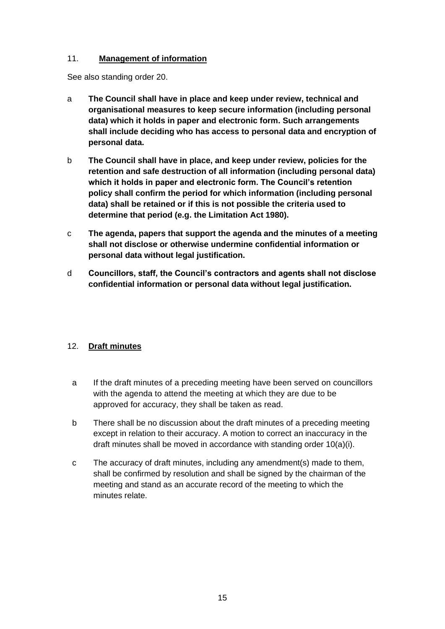#### <span id="page-14-0"></span>11. **Management of information**

See also standing order 20.

- a **The Council shall have in place and keep under review, technical and organisational measures to keep secure information (including personal data) which it holds in paper and electronic form. Such arrangements shall include deciding who has access to personal data and encryption of personal data.**
- b **The Council shall have in place, and keep under review, policies for the retention and safe destruction of all information (including personal data) which it holds in paper and electronic form. The Council's retention policy shall confirm the period for which information (including personal data) shall be retained or if this is not possible the criteria used to determine that period (e.g. the Limitation Act 1980).**
- c **The agenda, papers that support the agenda and the minutes of a meeting shall not disclose or otherwise undermine confidential information or personal data without legal justification.**
- d **Councillors, staff, the Council's contractors and agents shall not disclose confidential information or personal data without legal justification.**

#### <span id="page-14-1"></span>12. **Draft minutes**

- a If the draft minutes of a preceding meeting have been served on councillors with the agenda to attend the meeting at which they are due to be approved for accuracy, they shall be taken as read.
- b There shall be no discussion about the draft minutes of a preceding meeting except in relation to their accuracy. A motion to correct an inaccuracy in the draft minutes shall be moved in accordance with standing order 10(a)(i).
- c The accuracy of draft minutes, including any amendment(s) made to them, shall be confirmed by resolution and shall be signed by the chairman of the meeting and stand as an accurate record of the meeting to which the minutes relate.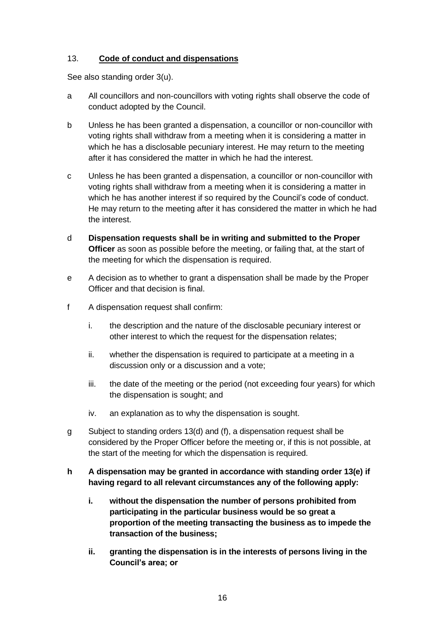#### <span id="page-15-0"></span>13. **Code of conduct and dispensations**

See also standing order 3(u).

- a All councillors and non-councillors with voting rights shall observe the code of conduct adopted by the Council.
- b Unless he has been granted a dispensation, a councillor or non-councillor with voting rights shall withdraw from a meeting when it is considering a matter in which he has a disclosable pecuniary interest. He may return to the meeting after it has considered the matter in which he had the interest.
- c Unless he has been granted a dispensation, a councillor or non-councillor with voting rights shall withdraw from a meeting when it is considering a matter in which he has another interest if so required by the Council's code of conduct. He may return to the meeting after it has considered the matter in which he had the interest.
- d **Dispensation requests shall be in writing and submitted to the Proper Officer** as soon as possible before the meeting, or failing that, at the start of the meeting for which the dispensation is required.
- e A decision as to whether to grant a dispensation shall be made by the Proper Officer and that decision is final.
- f A dispensation request shall confirm:
	- i. the description and the nature of the disclosable pecuniary interest or other interest to which the request for the dispensation relates;
	- ii. whether the dispensation is required to participate at a meeting in a discussion only or a discussion and a vote;
	- iii. the date of the meeting or the period (not exceeding four years) for which the dispensation is sought; and
	- iv. an explanation as to why the dispensation is sought.
- g Subject to standing orders 13(d) and (f), a dispensation request shall be considered by the Proper Officer before the meeting or, if this is not possible, at the start of the meeting for which the dispensation is required.
- **h A dispensation may be granted in accordance with standing order 13(e) if having regard to all relevant circumstances any of the following apply:**
	- **i. without the dispensation the number of persons prohibited from participating in the particular business would be so great a proportion of the meeting transacting the business as to impede the transaction of the business;**
	- **ii. granting the dispensation is in the interests of persons living in the Council's area; or**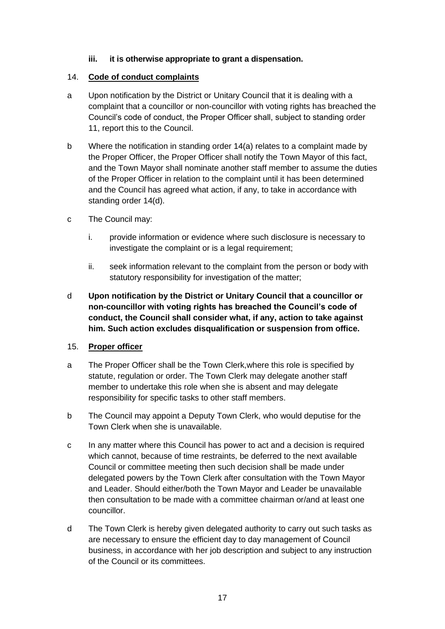#### **iii. it is otherwise appropriate to grant a dispensation.**

#### <span id="page-16-0"></span>14. **Code of conduct complaints**

- a Upon notification by the District or Unitary Council that it is dealing with a complaint that a councillor or non-councillor with voting rights has breached the Council's code of conduct, the Proper Officer shall, subject to standing order 11, report this to the Council.
- b Where the notification in standing order 14(a) relates to a complaint made by the Proper Officer, the Proper Officer shall notify the Town Mayor of this fact, and the Town Mayor shall nominate another staff member to assume the duties of the Proper Officer in relation to the complaint until it has been determined and the Council has agreed what action, if any, to take in accordance with standing order 14(d).
- c The Council may:
	- i. provide information or evidence where such disclosure is necessary to investigate the complaint or is a legal requirement;
	- ii. seek information relevant to the complaint from the person or body with statutory responsibility for investigation of the matter;
- d **Upon notification by the District or Unitary Council that a councillor or non-councillor with voting rights has breached the Council's code of conduct, the Council shall consider what, if any, action to take against him. Such action excludes disqualification or suspension from office.**

#### <span id="page-16-1"></span>15. **Proper officer**

- a The Proper Officer shall be the Town Clerk,where this role is specified by statute, regulation or order. The Town Clerk may delegate another staff member to undertake this role when she is absent and may delegate responsibility for specific tasks to other staff members.
- b The Council may appoint a Deputy Town Clerk, who would deputise for the Town Clerk when she is unavailable.
- c In any matter where this Council has power to act and a decision is required which cannot, because of time restraints, be deferred to the next available Council or committee meeting then such decision shall be made under delegated powers by the Town Clerk after consultation with the Town Mayor and Leader. Should either/both the Town Mayor and Leader be unavailable then consultation to be made with a committee chairman or/and at least one councillor.
- d The Town Clerk is hereby given delegated authority to carry out such tasks as are necessary to ensure the efficient day to day management of Council business, in accordance with her job description and subject to any instruction of the Council or its committees.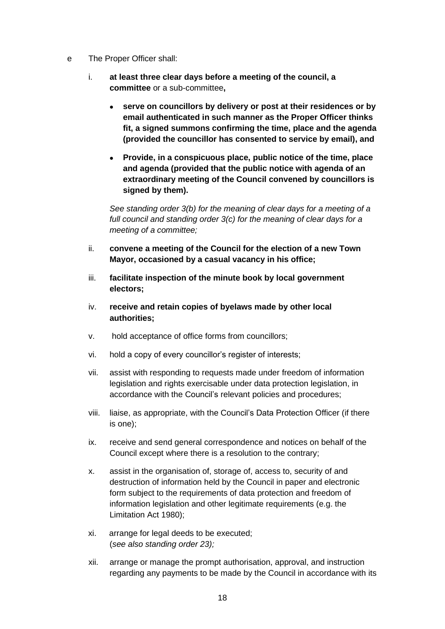- e The Proper Officer shall:
	- i. **at least three clear days before a meeting of the council, a committee** or a sub-committee**,**
		- **serve on councillors by delivery or post at their residences or by email authenticated in such manner as the Proper Officer thinks fit, a signed summons confirming the time, place and the agenda (provided the councillor has consented to service by email), and**
		- **Provide, in a conspicuous place, public notice of the time, place and agenda (provided that the public notice with agenda of an extraordinary meeting of the Council convened by councillors is signed by them).**

*See standing order 3(b) for the meaning of clear days for a meeting of a full council and standing order 3(c) for the meaning of clear days for a meeting of a committee;*

- ii. **convene a meeting of the Council for the election of a new Town Mayor, occasioned by a casual vacancy in his office;**
- iii. **facilitate inspection of the minute book by local government electors;**
- iv. **receive and retain copies of byelaws made by other local authorities;**
- v. hold acceptance of office forms from councillors;
- vi. hold a copy of every councillor's register of interests;
- vii. assist with responding to requests made under freedom of information legislation and rights exercisable under data protection legislation, in accordance with the Council's relevant policies and procedures;
- viii. liaise, as appropriate, with the Council's Data Protection Officer (if there is one);
- ix. receive and send general correspondence and notices on behalf of the Council except where there is a resolution to the contrary;
- x. assist in the organisation of, storage of, access to, security of and destruction of information held by the Council in paper and electronic form subject to the requirements of data protection and freedom of information legislation and other legitimate requirements (e.g. the Limitation Act 1980);
- xi. arrange for legal deeds to be executed; (*see also standing order 23);*
- xii. arrange or manage the prompt authorisation, approval, and instruction regarding any payments to be made by the Council in accordance with its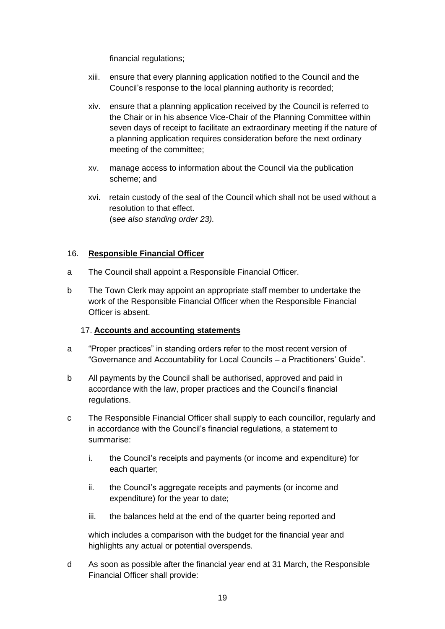financial regulations;

- xiii. ensure that every planning application notified to the Council and the Council's response to the local planning authority is recorded;
- xiv. ensure that a planning application received by the Council is referred to the Chair or in his absence Vice-Chair of the Planning Committee within seven days of receipt to facilitate an extraordinary meeting if the nature of a planning application requires consideration before the next ordinary meeting of the committee;
- xv. manage access to information about the Council via the publication scheme; and
- xvi. retain custody of the seal of the Council which shall not be used without a resolution to that effect. (s*ee also standing order 23).*

#### <span id="page-18-0"></span>16. **Responsible Financial Officer**

- a The Council shall appoint a Responsible Financial Officer.
- b The Town Clerk may appoint an appropriate staff member to undertake the work of the Responsible Financial Officer when the Responsible Financial Officer is absent.

#### <span id="page-18-1"></span>17. **Accounts and accounting statements**

- a "Proper practices" in standing orders refer to the most recent version of "Governance and Accountability for Local Councils – a Practitioners' Guide".
- b All payments by the Council shall be authorised, approved and paid in accordance with the law, proper practices and the Council's financial regulations.
- c The Responsible Financial Officer shall supply to each councillor, regularly and in accordance with the Council's financial regulations, a statement to summarise:
	- i. the Council's receipts and payments (or income and expenditure) for each quarter;
	- ii. the Council's aggregate receipts and payments (or income and expenditure) for the year to date;
	- iii. the balances held at the end of the quarter being reported and

which includes a comparison with the budget for the financial year and highlights any actual or potential overspends.

d As soon as possible after the financial year end at 31 March, the Responsible Financial Officer shall provide: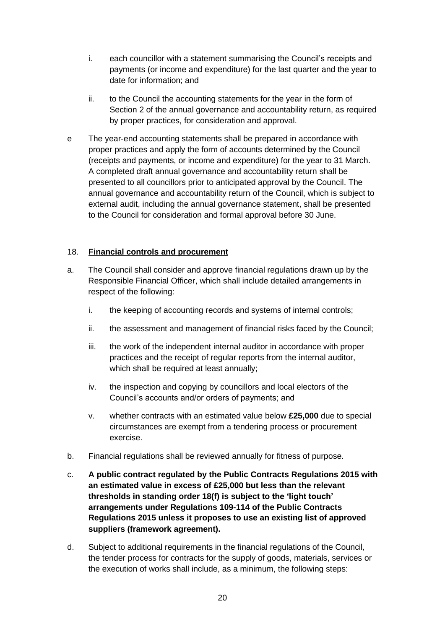- i. each councillor with a statement summarising the Council's receipts and payments (or income and expenditure) for the last quarter and the year to date for information; and
- ii. to the Council the accounting statements for the year in the form of Section 2 of the annual governance and accountability return, as required by proper practices, for consideration and approval.
- e The year-end accounting statements shall be prepared in accordance with proper practices and apply the form of accounts determined by the Council (receipts and payments, or income and expenditure) for the year to 31 March. A completed draft annual governance and accountability return shall be presented to all councillors prior to anticipated approval by the Council. The annual governance and accountability return of the Council, which is subject to external audit, including the annual governance statement, shall be presented to the Council for consideration and formal approval before 30 June.

#### <span id="page-19-0"></span>18. **Financial controls and procurement**

- a. The Council shall consider and approve financial regulations drawn up by the Responsible Financial Officer, which shall include detailed arrangements in respect of the following:
	- i. the keeping of accounting records and systems of internal controls;
	- ii. the assessment and management of financial risks faced by the Council;
	- iii. the work of the independent internal auditor in accordance with proper practices and the receipt of regular reports from the internal auditor, which shall be required at least annually;
	- iv. the inspection and copying by councillors and local electors of the Council's accounts and/or orders of payments; and
	- v. whether contracts with an estimated value below **£25,000** due to special circumstances are exempt from a tendering process or procurement exercise.
- b. Financial regulations shall be reviewed annually for fitness of purpose.
- c. **A public contract regulated by the Public Contracts Regulations 2015 with an estimated value in excess of £25,000 but less than the relevant thresholds in standing order 18(f) is subject to the 'light touch' arrangements under Regulations 109-114 of the Public Contracts Regulations 2015 unless it proposes to use an existing list of approved suppliers (framework agreement).**
- d. Subject to additional requirements in the financial regulations of the Council, the tender process for contracts for the supply of goods, materials, services or the execution of works shall include, as a minimum, the following steps: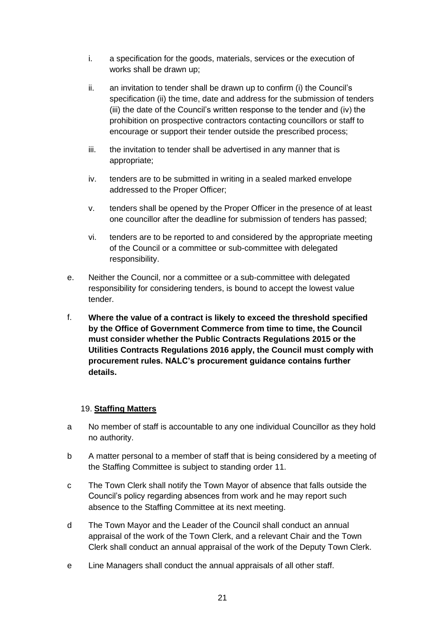- i. a specification for the goods, materials, services or the execution of works shall be drawn up;
- ii. an invitation to tender shall be drawn up to confirm (i) the Council's specification (ii) the time, date and address for the submission of tenders (iii) the date of the Council's written response to the tender and (iv) the prohibition on prospective contractors contacting councillors or staff to encourage or support their tender outside the prescribed process;
- iii. the invitation to tender shall be advertised in any manner that is appropriate;
- iv. tenders are to be submitted in writing in a sealed marked envelope addressed to the Proper Officer;
- v. tenders shall be opened by the Proper Officer in the presence of at least one councillor after the deadline for submission of tenders has passed;
- vi. tenders are to be reported to and considered by the appropriate meeting of the Council or a committee or sub-committee with delegated responsibility.
- e. Neither the Council, nor a committee or a sub-committee with delegated responsibility for considering tenders, is bound to accept the lowest value tender.
- f. **Where the value of a contract is likely to exceed the threshold specified by the Office of Government Commerce from time to time, the Council must consider whether the Public Contracts Regulations 2015 or the Utilities Contracts Regulations 2016 apply, the Council must comply with procurement rules. NALC's procurement guidance contains further details.**

#### <span id="page-20-0"></span>19. **Staffing Matters**

- a No member of staff is accountable to any one individual Councillor as they hold no authority.
- b A matter personal to a member of staff that is being considered by a meeting of the Staffing Committee is subject to standing order 11.
- c The Town Clerk shall notify the Town Mayor of absence that falls outside the Council's policy regarding absences from work and he may report such absence to the Staffing Committee at its next meeting.
- d The Town Mayor and the Leader of the Council shall conduct an annual appraisal of the work of the Town Clerk, and a relevant Chair and the Town Clerk shall conduct an annual appraisal of the work of the Deputy Town Clerk.
- e Line Managers shall conduct the annual appraisals of all other staff.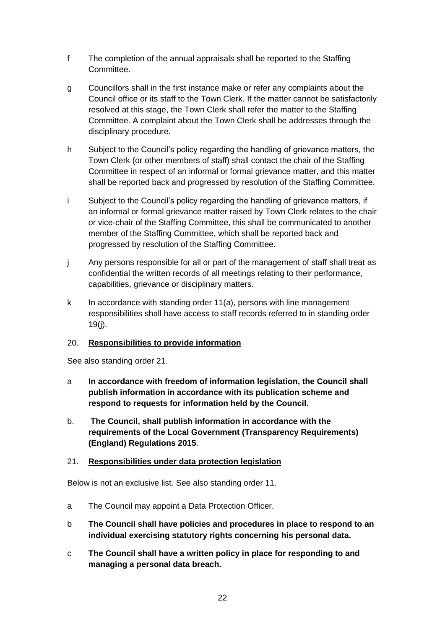- f The completion of the annual appraisals shall be reported to the Staffing Committee.
- g Councillors shall in the first instance make or refer any complaints about the Council office or its staff to the Town Clerk. If the matter cannot be satisfactorily resolved at this stage, the Town Clerk shall refer the matter to the Staffing Committee. A complaint about the Town Clerk shall be addresses through the disciplinary procedure.
- h Subject to the Council's policy regarding the handling of grievance matters, the Town Clerk (or other members of staff) shall contact the chair of the Staffing Committee in respect of an informal or formal grievance matter, and this matter shall be reported back and progressed by resolution of the Staffing Committee.
- i Subject to the Council's policy regarding the handling of grievance matters, if an informal or formal grievance matter raised by Town Clerk relates to the chair or vice-chair of the Staffing Committee, this shall be communicated to another member of the Staffing Committee, which shall be reported back and progressed by resolution of the Staffing Committee.
- j Any persons responsible for all or part of the management of staff shall treat as confidential the written records of all meetings relating to their performance, capabilities, grievance or disciplinary matters.
- $k$  In accordance with standing order 11(a), persons with line management responsibilities shall have access to staff records referred to in standing order 19(j).

#### <span id="page-21-0"></span>20. **Responsibilities to provide information**

See also standing order 21.

- a **In accordance with freedom of information legislation, the Council shall publish information in accordance with its publication scheme and respond to requests for information held by the Council.**
- b. **The Council, shall publish information in accordance with the requirements of the Local Government (Transparency Requirements) (England) Regulations 2015**.

#### <span id="page-21-1"></span>21. **Responsibilities under data protection legislation**

Below is not an exclusive list. See also standing order 11.

- a The Council may appoint a Data Protection Officer.
- b **The Council shall have policies and procedures in place to respond to an individual exercising statutory rights concerning his personal data.**
- c **The Council shall have a written policy in place for responding to and managing a personal data breach.**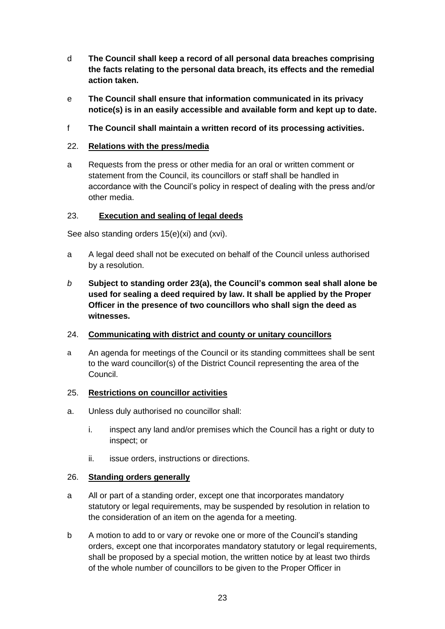- d **The Council shall keep a record of all personal data breaches comprising the facts relating to the personal data breach, its effects and the remedial action taken.**
- e **The Council shall ensure that information communicated in its privacy notice(s) is in an easily accessible and available form and kept up to date.**
- f **The Council shall maintain a written record of its processing activities.**

#### <span id="page-22-0"></span>22. **Relations with the press/media**

a Requests from the press or other media for an oral or written comment or statement from the Council, its councillors or staff shall be handled in accordance with the Council's policy in respect of dealing with the press and/or other media.

#### <span id="page-22-1"></span>23. **Execution and sealing of legal deeds**

See also standing orders 15(e)(xi) and (xvi).

- a A legal deed shall not be executed on behalf of the Council unless authorised by a resolution.
- *b* **Subject to standing order 23(a), the Council's common seal shall alone be used for sealing a deed required by law. It shall be applied by the Proper Officer in the presence of two councillors who shall sign the deed as witnesses.**

#### <span id="page-22-2"></span>24. **Communicating with district and county or unitary councillors**

a An agenda for meetings of the Council or its standing committees shall be sent to the ward councillor(s) of the District Council representing the area of the Council.

#### <span id="page-22-3"></span>25. **Restrictions on councillor activities**

- a. Unless duly authorised no councillor shall:
	- i. inspect any land and/or premises which the Council has a right or duty to inspect; or
	- ii. issue orders, instructions or directions.

#### <span id="page-22-4"></span>26. **Standing orders generally**

- a All or part of a standing order, except one that incorporates mandatory statutory or legal requirements, may be suspended by resolution in relation to the consideration of an item on the agenda for a meeting.
- b A motion to add to or vary or revoke one or more of the Council's standing orders, except one that incorporates mandatory statutory or legal requirements, shall be proposed by a special motion, the written notice by at least two thirds of the whole number of councillors to be given to the Proper Officer in